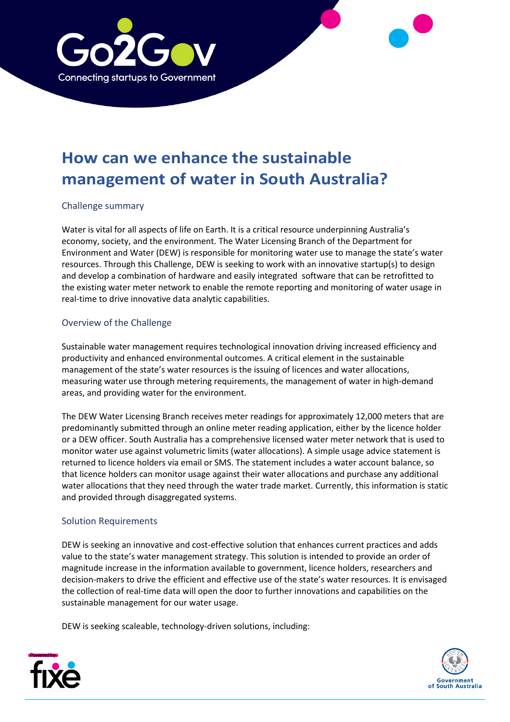

# **How can we enhance the sustainable management of water in South Australia?**

#### Challenge summary

Water is vital for all aspects of life on Earth. It is a critical resource underpinning Australia's economy, society, and the environment. The Water Licensing Branch of the Department for Environment and Water (DEW) is responsible for monitoring water use to manage the state's water resources. Through this Challenge, DEW is seeking to work with an innovative startup(s) to design and develop a combination of hardware and easily integrated software that can be retrofitted to the existing water meter network to enable the remote reporting and monitoring of water usage in real-time to drive innovative data analytic capabilities.

### Overview of the Challenge

Sustainable water management requires technological innovation driving increased efficiency and productivity and enhanced environmental outcomes. A critical element in the sustainable management of the state's water resources is the issuing of licences and water allocations, measuring water use through metering requirements, the management of water in high-demand areas, and providing water for the environment.

The DEW Water Licensing Branch receives meter readings for approximately 12,000 meters that are predominantly submitted through an online meter reading application, either by the licence holder or a DEW officer. South Australia has a comprehensive licensed water meter network that is used to monitor water use against volumetric limits (water allocations). A simple usage advice statement is returned to licence holders via email or SMS. The statement includes a water account balance, so that licence holders can monitor usage against their water allocations and purchase any additional water allocations that they need through the water trade market. Currently, this information is static and provided through disaggregated systems.

#### Solution Requirements

DEW is seeking an innovative and cost-effective solution that enhances current practices and adds value to the state's water management strategy. This solution is intended to provide an order of magnitude increase in the information available to government, licence holders, researchers and decision-makers to drive the efficient and effective use of the state's water resources. It is envisaged the collection of real-time data will open the door to further innovations and capabilities on the sustainable management for our water usage.

DEW is seeking scaleable, technology-driven solutions, including:



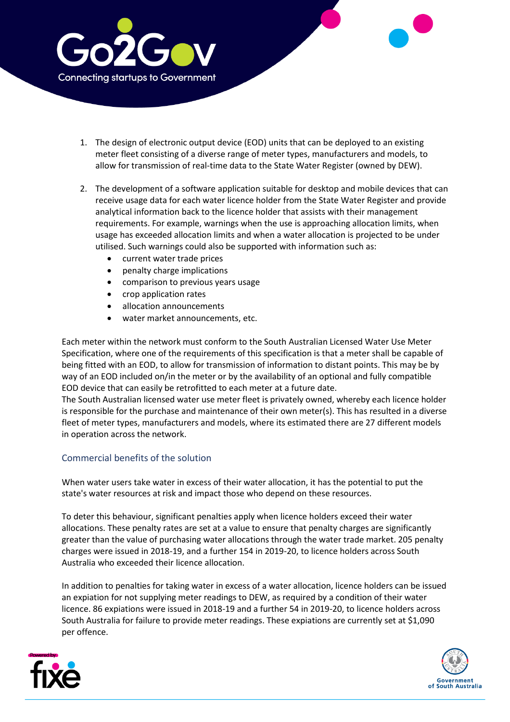

- 1. The design of electronic output device (EOD) units that can be deployed to an existing meter fleet consisting of a diverse range of meter types, manufacturers and models, to allow for transmission of real-time data to the State Water Register (owned by DEW).
- 2. The development of a software application suitable for desktop and mobile devices that can receive usage data for each water licence holder from the State Water Register and provide analytical information back to the licence holder that assists with their management requirements. For example, warnings when the use is approaching allocation limits, when usage has exceeded allocation limits and when a water allocation is projected to be under utilised. Such warnings could also be supported with information such as:
	- current water trade prices
	- penalty charge implications
	- comparison to previous years usage
	- crop application rates
	- allocation announcements
	- water market announcements, etc.

Each meter within the network must conform to the South Australian Licensed Water Use Meter Specification, where one of the requirements of this specification is that a meter shall be capable of being fitted with an EOD, to allow for transmission of information to distant points. This may be by way of an EOD included on/in the meter or by the availability of an optional and fully compatible EOD device that can easily be retrofitted to each meter at a future date.

The South Australian licensed water use meter fleet is privately owned, whereby each licence holder is responsible for the purchase and maintenance of their own meter(s). This has resulted in a diverse fleet of meter types, manufacturers and models, where its estimated there are 27 different models in operation across the network.

## Commercial benefits of the solution

When water users take water in excess of their water allocation, it has the potential to put the state's water resources at risk and impact those who depend on these resources.

To deter this behaviour, significant penalties apply when licence holders exceed their water allocations. These penalty rates are set at a value to ensure that penalty charges are significantly greater than the value of purchasing water allocations through the water trade market. 205 penalty charges were issued in 2018-19, and a further 154 in 2019-20, to licence holders across South Australia who exceeded their licence allocation.

In addition to penalties for taking water in excess of a water allocation, licence holders can be issued an expiation for not supplying meter readings to DEW, as required by a condition of their water licence. 86 expiations were issued in 2018-19 and a further 54 in 2019-20, to licence holders across South Australia for failure to provide meter readings. These expiations are currently set at \$1,090 per offence.